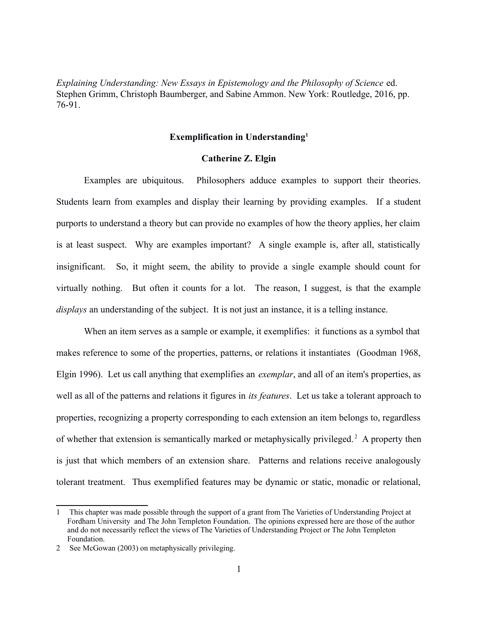*Explaining Understanding: New Essays in Epistemology and the Philosophy of Science* ed. Stephen Grimm, Christoph Baumberger, and Sabine Ammon. New York: Routledge, 2016, pp. 76-91.

## **Exemplification in Understanding[1](#page-0-0)**

## **Catherine Z. Elgin**

Examples are ubiquitous. Philosophers adduce examples to support their theories. Students learn from examples and display their learning by providing examples. If a student purports to understand a theory but can provide no examples of how the theory applies, her claim is at least suspect. Why are examples important? A single example is, after all, statistically insignificant. So, it might seem, the ability to provide a single example should count for virtually nothing. But often it counts for a lot. The reason, I suggest, is that the example *displays* an understanding of the subject. It is not just an instance, it is a telling instance.

When an item serves as a sample or example, it exemplifies: it functions as a symbol that makes reference to some of the properties, patterns, or relations it instantiates (Goodman 1968, Elgin 1996). Let us call anything that exemplifies an *exemplar*, and all of an item's properties, as well as all of the patterns and relations it figures in *its features*. Let us take a tolerant approach to properties, recognizing a property corresponding to each extension an item belongs to, regardless of whether that extension is semantically marked or metaphysically privileged.<sup>[2](#page-0-1)</sup> A property then is just that which members of an extension share. Patterns and relations receive analogously tolerant treatment. Thus exemplified features may be dynamic or static, monadic or relational,

<span id="page-0-0"></span><sup>1</sup> -This chapter was made possible through the support of a grant from The Varieties of Understanding Project at Fordham University and The John Templeton Foundation. The opinions expressed here are those of the author and do not necessarily reflect the views of The Varieties of Understanding Project or The John Templeton Foundation.

<span id="page-0-1"></span><sup>2</sup> -See McGowan (2003) on metaphysically privileging.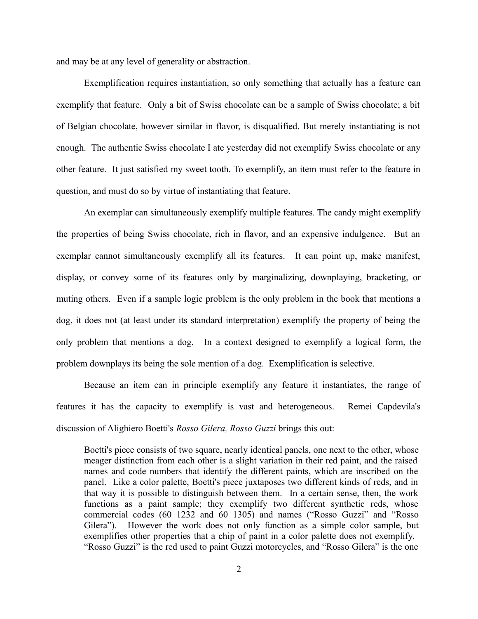and may be at any level of generality or abstraction.

Exemplification requires instantiation, so only something that actually has a feature can exemplify that feature. Only a bit of Swiss chocolate can be a sample of Swiss chocolate; a bit of Belgian chocolate, however similar in flavor, is disqualified. But merely instantiating is not enough. The authentic Swiss chocolate I ate yesterday did not exemplify Swiss chocolate or any other feature. It just satisfied my sweet tooth. To exemplify, an item must refer to the feature in question, and must do so by virtue of instantiating that feature.

An exemplar can simultaneously exemplify multiple features. The candy might exemplify the properties of being Swiss chocolate, rich in flavor, and an expensive indulgence. But an exemplar cannot simultaneously exemplify all its features. It can point up, make manifest, display, or convey some of its features only by marginalizing, downplaying, bracketing, or muting others. Even if a sample logic problem is the only problem in the book that mentions a dog, it does not (at least under its standard interpretation) exemplify the property of being the only problem that mentions a dog. In a context designed to exemplify a logical form, the problem downplays its being the sole mention of a dog. Exemplification is selective.

Because an item can in principle exemplify any feature it instantiates, the range of features it has the capacity to exemplify is vast and heterogeneous. Remei Capdevila's discussion of Alighiero Boetti's *Rosso Gilera, Rosso Guzzi* brings this out:

Boetti's piece consists of two square, nearly identical panels, one next to the other, whose meager distinction from each other is a slight variation in their red paint, and the raised names and code numbers that identify the different paints, which are inscribed on the panel. Like a color palette, Boetti's piece juxtaposes two different kinds of reds, and in that way it is possible to distinguish between them. In a certain sense, then, the work functions as a paint sample; they exemplify two different synthetic reds, whose commercial codes (60 1232 and 60 1305) and names ("Rosso Guzzi" and "Rosso Gilera"). However the work does not only function as a simple color sample, but exemplifies other properties that a chip of paint in a color palette does not exemplify. "Rosso Guzzi" is the red used to paint Guzzi motorcycles, and "Rosso Gilera" is the one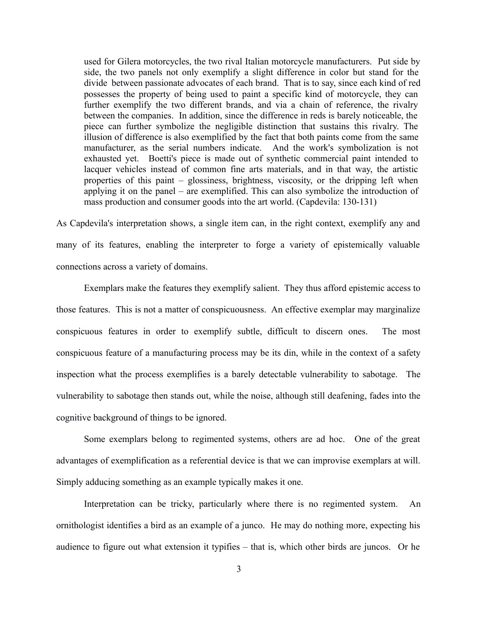used for Gilera motorcycles, the two rival Italian motorcycle manufacturers. Put side by side, the two panels not only exemplify a slight difference in color but stand for the divide between passionate advocates of each brand. That is to say, since each kind of red possesses the property of being used to paint a specific kind of motorcycle, they can further exemplify the two different brands, and via a chain of reference, the rivalry between the companies. In addition, since the difference in reds is barely noticeable, the piece can further symbolize the negligible distinction that sustains this rivalry. The illusion of difference is also exemplified by the fact that both paints come from the same manufacturer, as the serial numbers indicate. And the work's symbolization is not exhausted yet. Boetti's piece is made out of synthetic commercial paint intended to lacquer vehicles instead of common fine arts materials, and in that way, the artistic properties of this paint – glossiness, brightness, viscosity, or the dripping left when applying it on the panel – are exemplified. This can also symbolize the introduction of mass production and consumer goods into the art world. (Capdevila: 130-131)

As Capdevila's interpretation shows, a single item can, in the right context, exemplify any and many of its features, enabling the interpreter to forge a variety of epistemically valuable connections across a variety of domains.

Exemplars make the features they exemplify salient. They thus afford epistemic access to those features. This is not a matter of conspicuousness. An effective exemplar may marginalize conspicuous features in order to exemplify subtle, difficult to discern ones. The most conspicuous feature of a manufacturing process may be its din, while in the context of a safety inspection what the process exemplifies is a barely detectable vulnerability to sabotage. The vulnerability to sabotage then stands out, while the noise, although still deafening, fades into the cognitive background of things to be ignored.

Some exemplars belong to regimented systems, others are ad hoc. One of the great advantages of exemplification as a referential device is that we can improvise exemplars at will. Simply adducing something as an example typically makes it one.

 Interpretation can be tricky, particularly where there is no regimented system. An ornithologist identifies a bird as an example of a junco. He may do nothing more, expecting his audience to figure out what extension it typifies – that is, which other birds are juncos. Or he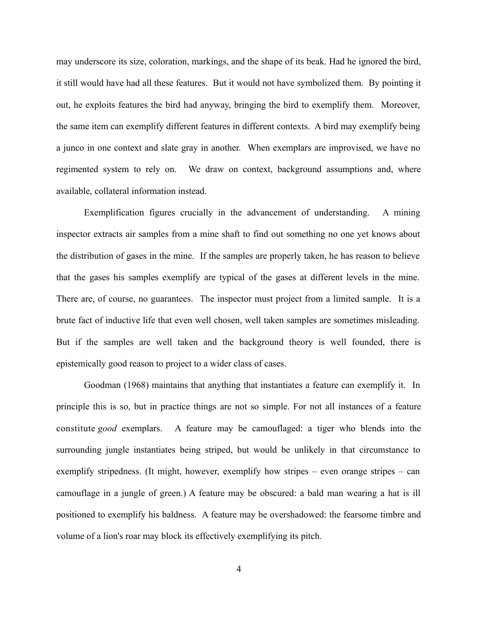may underscore its size, coloration, markings, and the shape of its beak. Had he ignored the bird, it still would have had all these features. But it would not have symbolized them. By pointing it out, he exploits features the bird had anyway, bringing the bird to exemplify them. Moreover, the same item can exemplify different features in different contexts. A bird may exemplify being a junco in one context and slate gray in another. When exemplars are improvised, we have no regimented system to rely on. We draw on context, background assumptions and, where available, collateral information instead.

Exemplification figures crucially in the advancement of understanding. A mining inspector extracts air samples from a mine shaft to find out something no one yet knows about the distribution of gases in the mine. If the samples are properly taken, he has reason to believe that the gases his samples exemplify are typical of the gases at different levels in the mine. There are, of course, no guarantees. The inspector must project from a limited sample. It is a brute fact of inductive life that even well chosen, well taken samples are sometimes misleading. But if the samples are well taken and the background theory is well founded, there is epistemically good reason to project to a wider class of cases.

Goodman (1968) maintains that anything that instantiates a feature can exemplify it. In principle this is so, but in practice things are not so simple. For not all instances of a feature constitute *good* exemplars. A feature may be camouflaged: a tiger who blends into the surrounding jungle instantiates being striped, but would be unlikely in that circumstance to exemplify stripedness. (It might, however, exemplify how stripes – even orange stripes – can camouflage in a jungle of green.) A feature may be obscured: a bald man wearing a hat is ill positioned to exemplify his baldness. A feature may be overshadowed: the fearsome timbre and volume of a lion's roar may block its effectively exemplifying its pitch.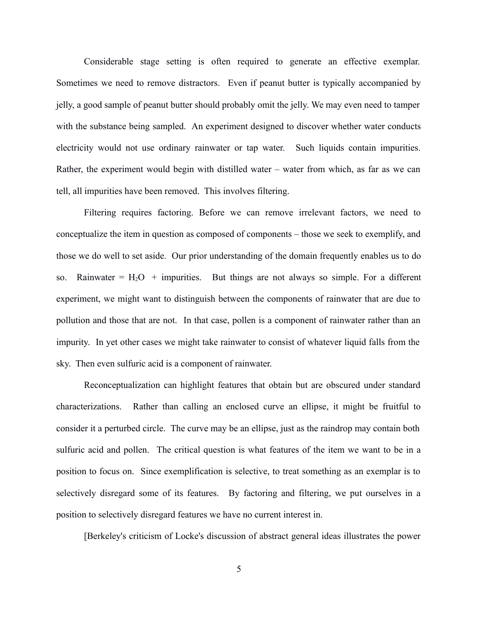Considerable stage setting is often required to generate an effective exemplar. Sometimes we need to remove distractors. Even if peanut butter is typically accompanied by jelly, a good sample of peanut butter should probably omit the jelly. We may even need to tamper with the substance being sampled. An experiment designed to discover whether water conducts electricity would not use ordinary rainwater or tap water. Such liquids contain impurities. Rather, the experiment would begin with distilled water – water from which, as far as we can tell, all impurities have been removed. This involves filtering.

Filtering requires factoring. Before we can remove irrelevant factors, we need to conceptualize the item in question as composed of components – those we seek to exemplify, and those we do well to set aside*.* Our prior understanding of the domain frequently enables us to do so. Rainwater =  $H_2O$  + impurities. But things are not always so simple. For a different experiment, we might want to distinguish between the components of rainwater that are due to pollution and those that are not. In that case, pollen is a component of rainwater rather than an impurity. In yet other cases we might take rainwater to consist of whatever liquid falls from the sky. Then even sulfuric acid is a component of rainwater.

Reconceptualization can highlight features that obtain but are obscured under standard characterizations. Rather than calling an enclosed curve an ellipse, it might be fruitful to consider it a perturbed circle. The curve may be an ellipse, just as the raindrop may contain both sulfuric acid and pollen. The critical question is what features of the item we want to be in a position to focus on. Since exemplification is selective, to treat something as an exemplar is to selectively disregard some of its features. By factoring and filtering, we put ourselves in a position to selectively disregard features we have no current interest in.

[Berkeley's criticism of Locke's discussion of abstract general ideas illustrates the power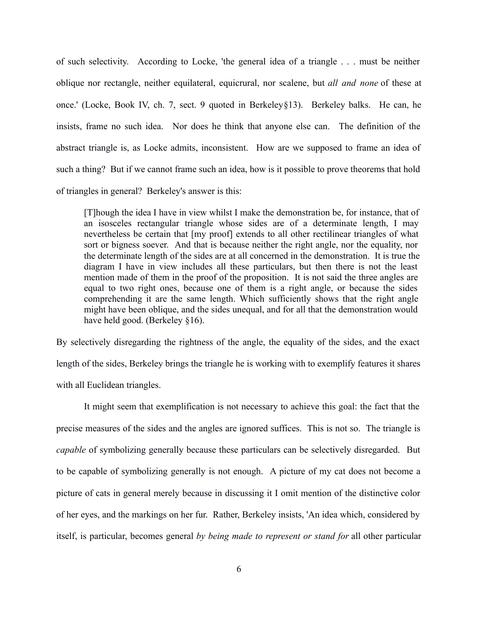of such selectivity. According to Locke, 'the general idea of a triangle . . . must be neither oblique nor rectangle, neither equilateral, equicrural, nor scalene, but *all and none* of these at once.' (Locke, Book IV, ch. 7, sect. 9 quoted in Berkeley§13). Berkeley balks. He can, he insists, frame no such idea. Nor does he think that anyone else can. The definition of the abstract triangle is, as Locke admits, inconsistent. How are we supposed to frame an idea of such a thing? But if we cannot frame such an idea, how is it possible to prove theorems that hold of triangles in general? Berkeley's answer is this:

[T]hough the idea I have in view whilst I make the demonstration be, for instance, that of an isosceles rectangular triangle whose sides are of a determinate length, I may nevertheless be certain that [my proof] extends to all other rectilinear triangles of what sort or bigness soever. And that is because neither the right angle, nor the equality, nor the determinate length of the sides are at all concerned in the demonstration. It is true the diagram I have in view includes all these particulars, but then there is not the least mention made of them in the proof of the proposition. It is not said the three angles are equal to two right ones, because one of them is a right angle, or because the sides comprehending it are the same length. Which sufficiently shows that the right angle might have been oblique, and the sides unequal, and for all that the demonstration would have held good. (Berkeley §16).

By selectively disregarding the rightness of the angle, the equality of the sides, and the exact length of the sides, Berkeley brings the triangle he is working with to exemplify features it shares with all Euclidean triangles.

It might seem that exemplification is not necessary to achieve this goal: the fact that the precise measures of the sides and the angles are ignored suffices. This is not so. The triangle is *capable* of symbolizing generally because these particulars can be selectively disregarded. But to be capable of symbolizing generally is not enough. A picture of my cat does not become a picture of cats in general merely because in discussing it I omit mention of the distinctive color of her eyes, and the markings on her fur. Rather, Berkeley insists, 'An idea which, considered by itself, is particular, becomes general *by being made to represent or stand for* all other particular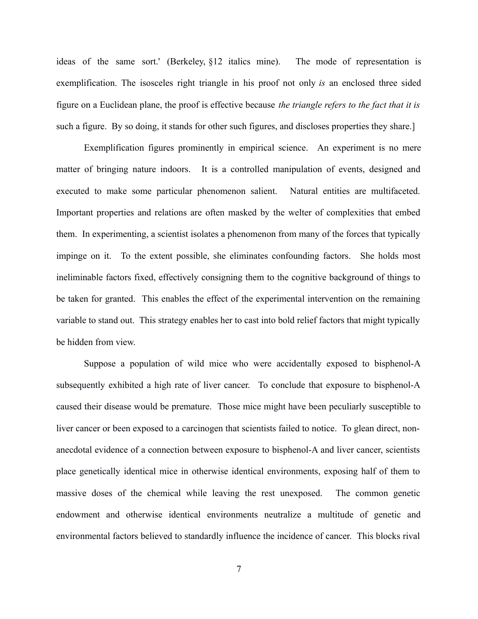ideas of the same sort.' (Berkeley, §12 italics mine). The mode of representation is exemplification. The isosceles right triangle in his proof not only *is* an enclosed three sided figure on a Euclidean plane, the proof is effective because *the triangle refers to the fact that it is* such a figure. By so doing, it stands for other such figures, and discloses properties they share.

Exemplification figures prominently in empirical science.An experiment is no mere matter of bringing nature indoors. It is a controlled manipulation of events, designed and executed to make some particular phenomenon salient. Natural entities are multifaceted. Important properties and relations are often masked by the welter of complexities that embed them. In experimenting, a scientist isolates a phenomenon from many of the forces that typically impinge on it. To the extent possible, she eliminates confounding factors. She holds most ineliminable factors fixed, effectively consigning them to the cognitive background of things to be taken for granted. This enables the effect of the experimental intervention on the remaining variable to stand out. This strategy enables her to cast into bold relief factors that might typically be hidden from view.

Suppose a population of wild mice who were accidentally exposed to bisphenol-A subsequently exhibited a high rate of liver cancer. To conclude that exposure to bisphenol-A caused their disease would be premature. Those mice might have been peculiarly susceptible to liver cancer or been exposed to a carcinogen that scientists failed to notice. To glean direct, nonanecdotal evidence of a connection between exposure to bisphenol-A and liver cancer, scientists place genetically identical mice in otherwise identical environments, exposing half of them to massive doses of the chemical while leaving the rest unexposed. The common genetic endowment and otherwise identical environments neutralize a multitude of genetic and environmental factors believed to standardly influence the incidence of cancer. This blocks rival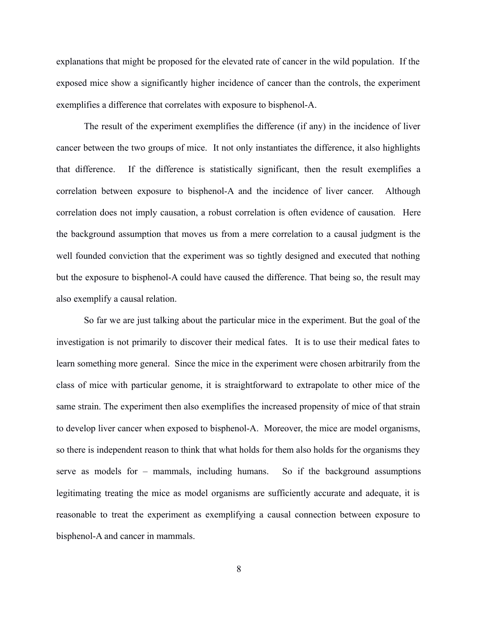explanations that might be proposed for the elevated rate of cancer in the wild population. If the exposed mice show a significantly higher incidence of cancer than the controls, the experiment exemplifies a difference that correlates with exposure to bisphenol-A.

The result of the experiment exemplifies the difference (if any) in the incidence of liver cancer between the two groups of mice. It not only instantiates the difference, it also highlights that difference. If the difference is statistically significant, then the result exemplifies a correlation between exposure to bisphenol-A and the incidence of liver cancer. Although correlation does not imply causation, a robust correlation is often evidence of causation. Here the background assumption that moves us from a mere correlation to a causal judgment is the well founded conviction that the experiment was so tightly designed and executed that nothing but the exposure to bisphenol-A could have caused the difference. That being so, the result may also exemplify a causal relation.

So far we are just talking about the particular mice in the experiment. But the goal of the investigation is not primarily to discover their medical fates. It is to use their medical fates to learn something more general. Since the mice in the experiment were chosen arbitrarily from the class of mice with particular genome, it is straightforward to extrapolate to other mice of the same strain. The experiment then also exemplifies the increased propensity of mice of that strain to develop liver cancer when exposed to bisphenol-A. Moreover, the mice are model organisms, so there is independent reason to think that what holds for them also holds for the organisms they serve as models for – mammals, including humans. So if the background assumptions legitimating treating the mice as model organisms are sufficiently accurate and adequate, it is reasonable to treat the experiment as exemplifying a causal connection between exposure to bisphenol-A and cancer in mammals.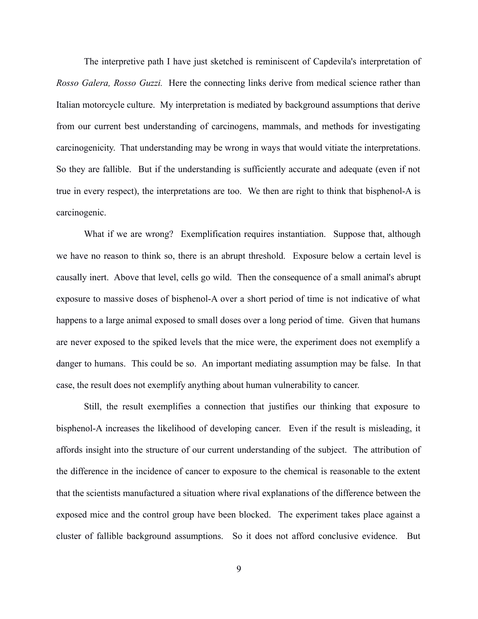The interpretive path I have just sketched is reminiscent of Capdevila's interpretation of *Rosso Galera, Rosso Guzzi.* Here the connecting links derive from medical science rather than Italian motorcycle culture. My interpretation is mediated by background assumptions that derive from our current best understanding of carcinogens, mammals, and methods for investigating carcinogenicity. That understanding may be wrong in ways that would vitiate the interpretations. So they are fallible. But if the understanding is sufficiently accurate and adequate (even if not true in every respect), the interpretations are too. We then are right to think that bisphenol-A is carcinogenic.

What if we are wrong? Exemplification requires instantiation. Suppose that, although we have no reason to think so, there is an abrupt threshold. Exposure below a certain level is causally inert. Above that level, cells go wild. Then the consequence of a small animal's abrupt exposure to massive doses of bisphenol-A over a short period of time is not indicative of what happens to a large animal exposed to small doses over a long period of time. Given that humans are never exposed to the spiked levels that the mice were, the experiment does not exemplify a danger to humans. This could be so. An important mediating assumption may be false. In that case, the result does not exemplify anything about human vulnerability to cancer.

Still, the result exemplifies a connection that justifies our thinking that exposure to bisphenol-A increases the likelihood of developing cancer. Even if the result is misleading, it affords insight into the structure of our current understanding of the subject. The attribution of the difference in the incidence of cancer to exposure to the chemical is reasonable to the extent that the scientists manufactured a situation where rival explanations of the difference between the exposed mice and the control group have been blocked. The experiment takes place against a cluster of fallible background assumptions. So it does not afford conclusive evidence. But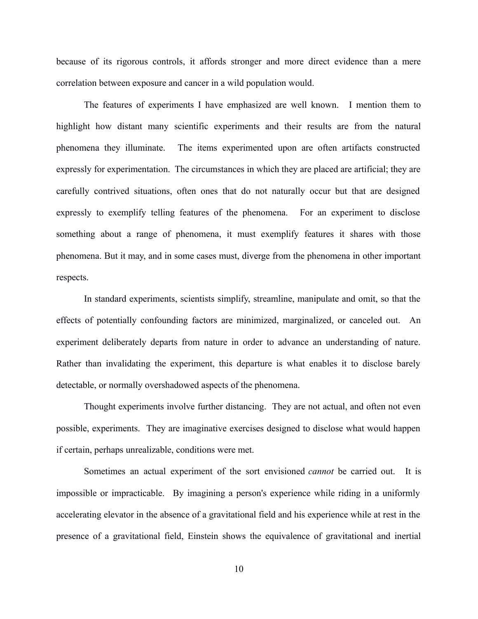because of its rigorous controls, it affords stronger and more direct evidence than a mere correlation between exposure and cancer in a wild population would.

The features of experiments I have emphasized are well known. I mention them to highlight how distant many scientific experiments and their results are from the natural phenomena they illuminate. The items experimented upon are often artifacts constructed expressly for experimentation. The circumstances in which they are placed are artificial; they are carefully contrived situations, often ones that do not naturally occur but that are designed expressly to exemplify telling features of the phenomena. For an experiment to disclose something about a range of phenomena, it must exemplify features it shares with those phenomena. But it may, and in some cases must, diverge from the phenomena in other important respects.

In standard experiments, scientists simplify, streamline, manipulate and omit, so that the effects of potentially confounding factors are minimized, marginalized, or canceled out. An experiment deliberately departs from nature in order to advance an understanding of nature. Rather than invalidating the experiment, this departure is what enables it to disclose barely detectable, or normally overshadowed aspects of the phenomena.

Thought experiments involve further distancing. They are not actual, and often not even possible, experiments. They are imaginative exercises designed to disclose what would happen if certain, perhaps unrealizable, conditions were met.

Sometimes an actual experiment of the sort envisioned *cannot* be carried out. It is impossible or impracticable. By imagining a person's experience while riding in a uniformly accelerating elevator in the absence of a gravitational field and his experience while at rest in the presence of a gravitational field, Einstein shows the equivalence of gravitational and inertial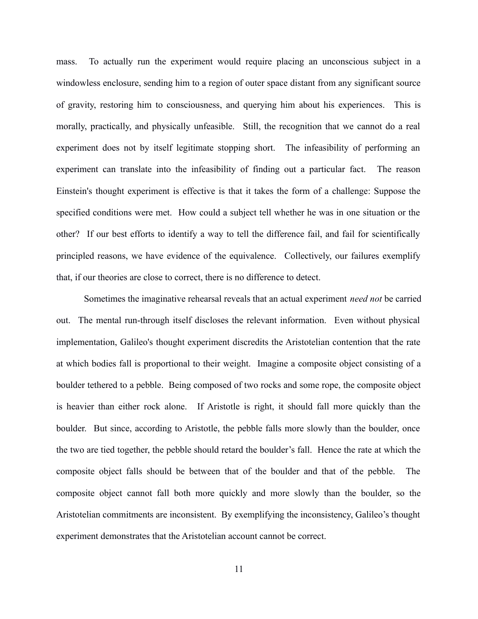mass. To actually run the experiment would require placing an unconscious subject in a windowless enclosure, sending him to a region of outer space distant from any significant source of gravity, restoring him to consciousness, and querying him about his experiences. This is morally, practically, and physically unfeasible. Still, the recognition that we cannot do a real experiment does not by itself legitimate stopping short. The infeasibility of performing an experiment can translate into the infeasibility of finding out a particular fact. The reason Einstein's thought experiment is effective is that it takes the form of a challenge: Suppose the specified conditions were met. How could a subject tell whether he was in one situation or the other? If our best efforts to identify a way to tell the difference fail, and fail for scientifically principled reasons, we have evidence of the equivalence. Collectively, our failures exemplify that, if our theories are close to correct, there is no difference to detect.

Sometimes the imaginative rehearsal reveals that an actual experiment *need not* be carried out. The mental run-through itself discloses the relevant information. Even without physical implementation, Galileo's thought experiment discredits the Aristotelian contention that the rate at which bodies fall is proportional to their weight. Imagine a composite object consisting of a boulder tethered to a pebble. Being composed of two rocks and some rope, the composite object is heavier than either rock alone. If Aristotle is right, it should fall more quickly than the boulder. But since, according to Aristotle, the pebble falls more slowly than the boulder, once the two are tied together, the pebble should retard the boulder's fall. Hence the rate at which the composite object falls should be between that of the boulder and that of the pebble. The composite object cannot fall both more quickly and more slowly than the boulder, so the Aristotelian commitments are inconsistent. By exemplifying the inconsistency, Galileo's thought experiment demonstrates that the Aristotelian account cannot be correct.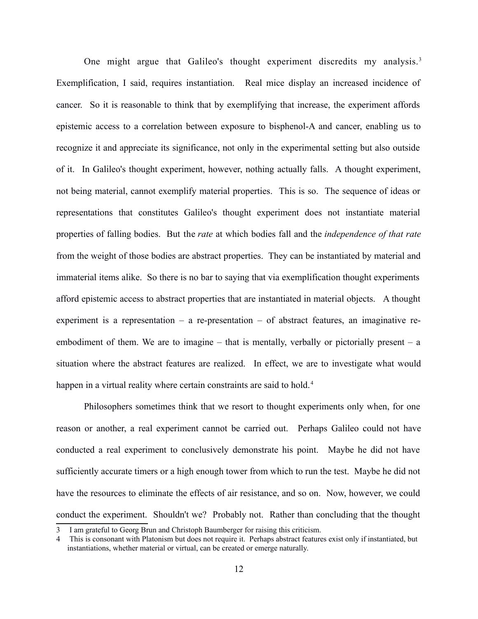One might argue that Galileo's thought experiment discredits my analysis.<sup>[3](#page-11-0)</sup> Exemplification, I said, requires instantiation. Real mice display an increased incidence of cancer. So it is reasonable to think that by exemplifying that increase, the experiment affords epistemic access to a correlation between exposure to bisphenol-A and cancer, enabling us to recognize it and appreciate its significance, not only in the experimental setting but also outside of it. In Galileo's thought experiment, however, nothing actually falls. A thought experiment, not being material, cannot exemplify material properties. This is so. The sequence of ideas or representations that constitutes Galileo's thought experiment does not instantiate material properties of falling bodies. But the *rate* at which bodies fall and the *independence of that rate* from the weight of those bodies are abstract properties. They can be instantiated by material and immaterial items alike. So there is no bar to saying that via exemplification thought experiments afford epistemic access to abstract properties that are instantiated in material objects. A thought experiment is a representation – a re-presentation – of abstract features, an imaginative reembodiment of them. We are to imagine – that is mentally, verbally or pictorially present – a situation where the abstract features are realized. In effect, we are to investigate what would happen in a virtual reality where certain constraints are said to hold.<sup>[4](#page-11-1)</sup>

Philosophers sometimes think that we resort to thought experiments only when, for one reason or another, a real experiment cannot be carried out. Perhaps Galileo could not have conducted a real experiment to conclusively demonstrate his point. Maybe he did not have sufficiently accurate timers or a high enough tower from which to run the test. Maybe he did not have the resources to eliminate the effects of air resistance, and so on. Now, however, we could conduct the experiment. Shouldn't we? Probably not. Rather than concluding that the thought

<span id="page-11-0"></span><sup>3</sup> -I am grateful to Georg Brun and Christoph Baumberger for raising this criticism.

<span id="page-11-1"></span><sup>4</sup> -This is consonant with Platonism but does not require it. Perhaps abstract features exist only if instantiated, but instantiations, whether material or virtual, can be created or emerge naturally.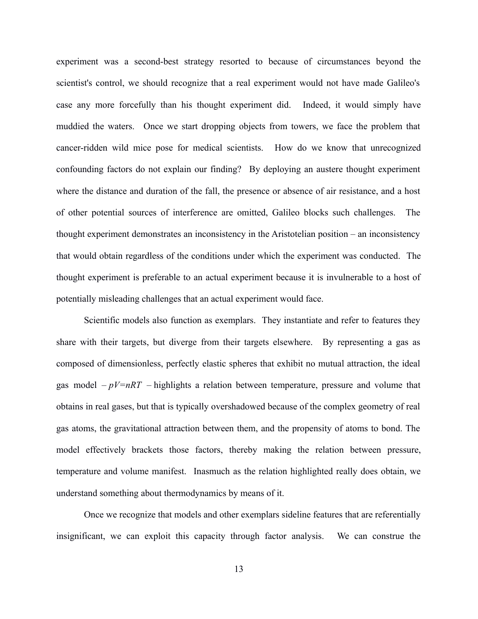experiment was a second-best strategy resorted to because of circumstances beyond the scientist's control, we should recognize that a real experiment would not have made Galileo's case any more forcefully than his thought experiment did. Indeed, it would simply have muddied the waters. Once we start dropping objects from towers, we face the problem that cancer-ridden wild mice pose for medical scientists. How do we know that unrecognized confounding factors do not explain our finding? By deploying an austere thought experiment where the distance and duration of the fall, the presence or absence of air resistance, and a host of other potential sources of interference are omitted, Galileo blocks such challenges. The thought experiment demonstrates an inconsistency in the Aristotelian position – an inconsistency that would obtain regardless of the conditions under which the experiment was conducted. The thought experiment is preferable to an actual experiment because it is invulnerable to a host of potentially misleading challenges that an actual experiment would face.

Scientific models also function as exemplars. They instantiate and refer to features they share with their targets, but diverge from their targets elsewhere. By representing a gas as composed of dimensionless, perfectly elastic spheres that exhibit no mutual attraction, the ideal gas model  $-pV=nRT$  – highlights a relation between temperature, pressure and volume that obtains in real gases, but that is typically overshadowed because of the complex geometry of real gas atoms, the gravitational attraction between them, and the propensity of atoms to bond. The model effectively brackets those factors, thereby making the relation between pressure, temperature and volume manifest. Inasmuch as the relation highlighted really does obtain, we understand something about thermodynamics by means of it.

Once we recognize that models and other exemplars sideline features that are referentially insignificant, we can exploit this capacity through factor analysis. We can construe the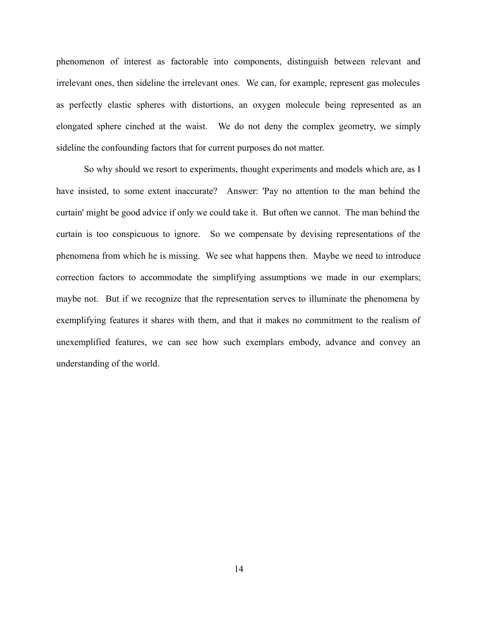phenomenon of interest as factorable into components, distinguish between relevant and irrelevant ones, then sideline the irrelevant ones. We can, for example, represent gas molecules as perfectly elastic spheres with distortions, an oxygen molecule being represented as an elongated sphere cinched at the waist. We do not deny the complex geometry, we simply sideline the confounding factors that for current purposes do not matter.

So why should we resort to experiments, thought experiments and models which are, as I have insisted, to some extent inaccurate? Answer: 'Pay no attention to the man behind the curtain' might be good advice if only we could take it. But often we cannot. The man behind the curtain is too conspicuous to ignore. So we compensate by devising representations of the phenomena from which he is missing. We see what happens then. Maybe we need to introduce correction factors to accommodate the simplifying assumptions we made in our exemplars; maybe not. But if we recognize that the representation serves to illuminate the phenomena by exemplifying features it shares with them, and that it makes no commitment to the realism of unexemplified features, we can see how such exemplars embody, advance and convey an understanding of the world.